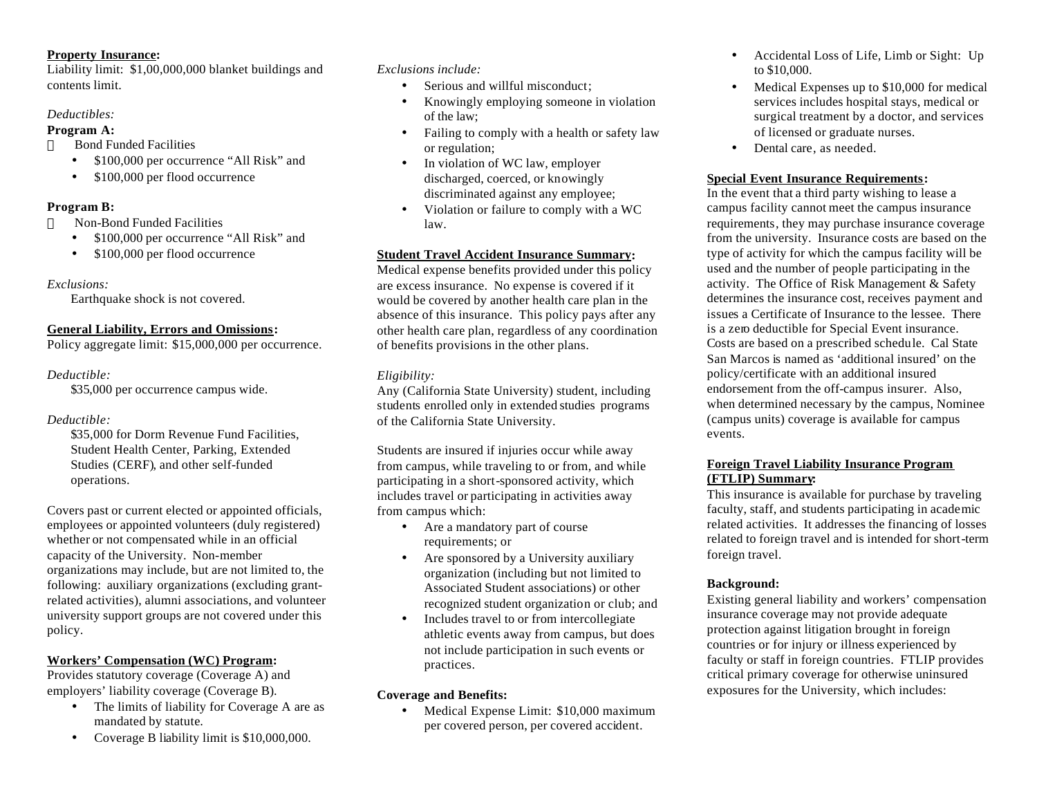### **Property Insurance:**

Liability limit: \$1,00,000,000 blanket buildings and contents limit.

## *Deductibles:*

### **Program A:**

Bond Funded Facilities

- \$100,000 per occurrence "All Risk" and
- \$100,000 per flood occurrence

## **Program B:**

- Non-Bond Funded Facilities
	- \$100,000 per occurrence "All Risk" and
	- \$100,000 per flood occurrence

## *Exclusions:*

Earthquake shock is not covered.

## **General Liability, Errors and Omissions:**

Policy aggregate limit: \$15,000,000 per occurrence.

## *Deductible:*

\$35,000 per occurrence campus wide.

# *Deductible:*

\$35,000 for Dorm Revenue Fund Facilities. Student Health Center, Parking, Extended Studies (CERF), and other self-funded operations.

Covers past or current elected or appointed officials, employees or appointed volunteers (duly registered) whether or not compensated while in an official capacity of the University. Non-member organizations may include, but are not limited to, the following: auxiliary organizations (excluding grantrelated activities), alumni associations, and volunteer university support groups are not covered under this policy.

# **Workers' Compensation (WC) Program:**

Provides statutory coverage (Coverage A) and employers' liability coverage (Coverage B).

- The limits of liability for Coverage A are as mandated by statute.
- Coverage B liability limit is \$10,000,000.

*Exclusions include:*

- Serious and willful misconduct:
- Knowingly employing someone in violation of the law;
- Failing to comply with a health or safety law or regulation;
- In violation of WC law, employer discharged, coerced, or knowingly discriminated against any employee;
- Violation or failure to comply with a WC law.

## **Student Travel Accident Insurance Summary:**

Medical expense benefits provided under this policy are excess insurance. No expense is covered if it would be covered by another health care plan in the absence of this insurance. This policy pays after any other health care plan, regardless of any coordination of benefits provisions in the other plans.

# *Eligibility:*

Any (California State University) student, including students enrolled only in extended studies programs of the California State University.

Students are insured if injuries occur while away from campus, while traveling to or from, and while participating in a short-sponsored activity, which includes travel or participating in activities away from campus which:

- Are a mandatory part of course requirements; or
- Are sponsored by a University auxiliary organization (including but not limited to Associated Student associations) or other recognized student organization or club; and
- Includes travel to or from intercollegiate athletic events away from campus, but does not include participation in such events or practices.

# **Coverage and Benefits:**

• Medical Expense Limit: \$10,000 maximum per covered person, per covered accident.

- Accidental Loss of Life, Limb or Sight: Up to \$10,000.
- Medical Expenses up to \$10,000 for medical services includes hospital stays, medical or surgical treatment by a doctor, and services of licensed or graduate nurses.
- Dental care, as needed.

# **Special Event Insurance Requirements:**

In the event that a third party wishing to lease a campus facility cannot meet the campus insurance requirements, they may purchase insurance coverage from the university. Insurance costs are based on the type of activity for which the campus facility will be used and the number of people participating in the activity. The Office of Risk Management & Safety determines the insurance cost, receives payment and issues a Certificate of Insurance to the lessee. There is a zero deductible for Special Event insurance. Costs are based on a prescribed schedule. Cal State San Marcos is named as 'additional insured' on the policy/certificate with an additional insured endorsement from the off-campus insurer. Also, when determined necessary by the campus, Nominee (campus units) coverage is available for campus events.

## **Foreign Travel Liability Insurance Program (FTLIP) Summary:**

This insurance is available for purchase by traveling faculty, staff, and students participating in academic related activities. It addresses the financing of losses related to foreign travel and is intended for short-term foreign travel.

# **Background:**

Existing general liability and workers' compensation insurance coverage may not provide adequate protection against litigation brought in foreign countries or for injury or illness experienced by faculty or staff in foreign countries. FTLIP provides critical primary coverage for otherwise uninsured exposures for the University, which includes: